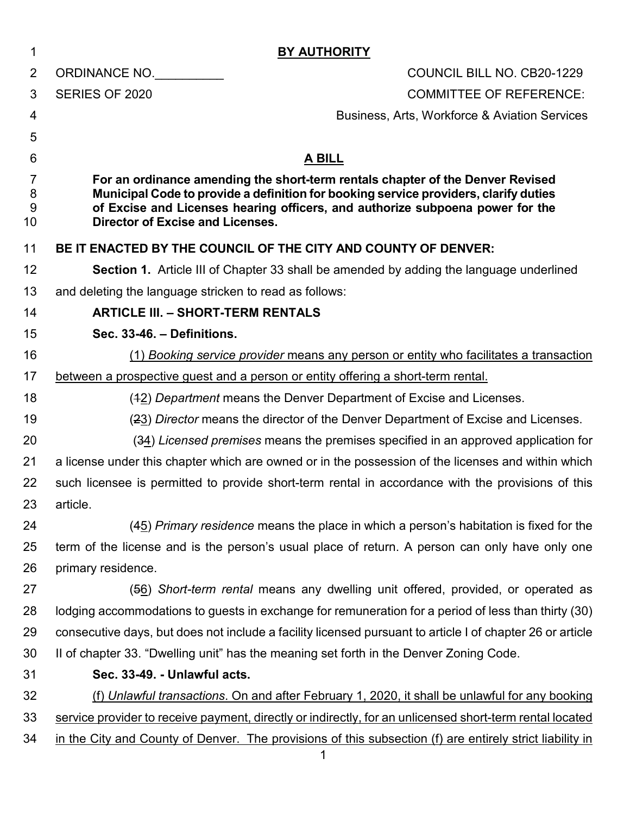| 1      | <b>BY AUTHORITY</b>                                                                                                                                                   |  |  |  |  |
|--------|-----------------------------------------------------------------------------------------------------------------------------------------------------------------------|--|--|--|--|
| 2      | COUNCIL BILL NO. CB20-1229<br>ORDINANCE NO.                                                                                                                           |  |  |  |  |
| 3      | SERIES OF 2020<br><b>COMMITTEE OF REFERENCE:</b>                                                                                                                      |  |  |  |  |
| 4      | <b>Business, Arts, Workforce &amp; Aviation Services</b>                                                                                                              |  |  |  |  |
| 5      |                                                                                                                                                                       |  |  |  |  |
| 6      | <b>A BILL</b>                                                                                                                                                         |  |  |  |  |
| 7      | For an ordinance amending the short-term rentals chapter of the Denver Revised                                                                                        |  |  |  |  |
| 8<br>9 | Municipal Code to provide a definition for booking service providers, clarify duties<br>of Excise and Licenses hearing officers, and authorize subpoena power for the |  |  |  |  |
| 10     | Director of Excise and Licenses.                                                                                                                                      |  |  |  |  |
| 11     | BE IT ENACTED BY THE COUNCIL OF THE CITY AND COUNTY OF DENVER:                                                                                                        |  |  |  |  |
| 12     | <b>Section 1.</b> Article III of Chapter 33 shall be amended by adding the language underlined                                                                        |  |  |  |  |
| 13     | and deleting the language stricken to read as follows:                                                                                                                |  |  |  |  |
| 14     | <b>ARTICLE III. - SHORT-TERM RENTALS</b>                                                                                                                              |  |  |  |  |
| 15     | Sec. 33-46. - Definitions.                                                                                                                                            |  |  |  |  |
| 16     | (1) Booking service provider means any person or entity who facilitates a transaction                                                                                 |  |  |  |  |
| 17     | between a prospective guest and a person or entity offering a short-term rental.                                                                                      |  |  |  |  |
| 18     | (42) Department means the Denver Department of Excise and Licenses.                                                                                                   |  |  |  |  |
| 19     | (23) Director means the director of the Denver Department of Excise and Licenses.                                                                                     |  |  |  |  |
| 20     | $(34)$ Licensed premises means the premises specified in an approved application for                                                                                  |  |  |  |  |
| 21     | a license under this chapter which are owned or in the possession of the licenses and within which                                                                    |  |  |  |  |
| 22     | such licensee is permitted to provide short-term rental in accordance with the provisions of this                                                                     |  |  |  |  |
| 23     | article.                                                                                                                                                              |  |  |  |  |
| 24     | $(45)$ Primary residence means the place in which a person's habitation is fixed for the                                                                              |  |  |  |  |
| 25     | term of the license and is the person's usual place of return. A person can only have only one                                                                        |  |  |  |  |
| 26     | primary residence.                                                                                                                                                    |  |  |  |  |
| 27     | $(56)$ Short-term rental means any dwelling unit offered, provided, or operated as                                                                                    |  |  |  |  |
| 28     | lodging accommodations to guests in exchange for remuneration for a period of less than thirty (30)                                                                   |  |  |  |  |
| 29     | consecutive days, but does not include a facility licensed pursuant to article I of chapter 26 or article                                                             |  |  |  |  |
| 30     | II of chapter 33. "Dwelling unit" has the meaning set forth in the Denver Zoning Code.                                                                                |  |  |  |  |
| 31     | Sec. 33-49. - Unlawful acts.                                                                                                                                          |  |  |  |  |
| 32     | (f) Unlawful transactions. On and after February 1, 2020, it shall be unlawful for any booking                                                                        |  |  |  |  |
| 33     | service provider to receive payment, directly or indirectly, for an unlicensed short-term rental located                                                              |  |  |  |  |
| 34     | in the City and County of Denver. The provisions of this subsection (f) are entirely strict liability in                                                              |  |  |  |  |
|        | 1                                                                                                                                                                     |  |  |  |  |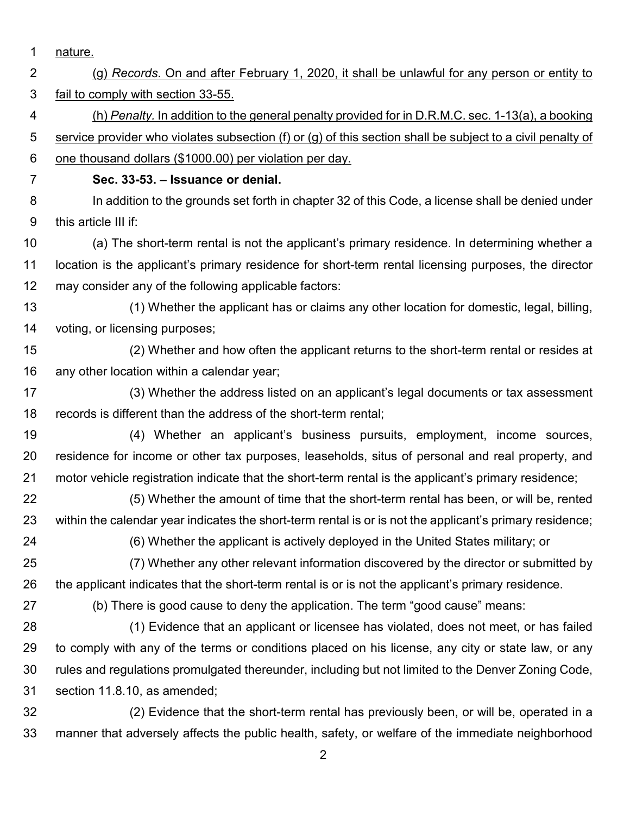- nature. (g) *Records*. On and after February 1, 2020, it shall be unlawful for any person or entity to fail to comply with section 33-55. (h) *Penalty.* In addition to the general penalty provided for in D.R.M.C. sec. 1-13(a), a booking service provider who violates subsection (f) or (g) of this section shall be subject to a civil penalty of one thousand dollars (\$1000.00) per violation per day. **Sec. 33-53. – Issuance or denial.** 8 In addition to the grounds set forth in chapter 32 of this Code, a license shall be denied under this article III if: (a) The short-term rental is not the applicant's primary residence. In determining whether a location is the applicant's primary residence for short-term rental licensing purposes, the director may consider any of the following applicable factors: (1) Whether the applicant has or claims any other location for domestic, legal, billing, voting, or licensing purposes; (2) Whether and how often the applicant returns to the short-term rental or resides at any other location within a calendar year; (3) Whether the address listed on an applicant's legal documents or tax assessment records is different than the address of the short-term rental; (4) Whether an applicant's business pursuits, employment, income sources, residence for income or other tax purposes, leaseholds, situs of personal and real property, and motor vehicle registration indicate that the short-term rental is the applicant's primary residence; (5) Whether the amount of time that the short-term rental has been, or will be, rented within the calendar year indicates the short-term rental is or is not the applicant's primary residence; (6) Whether the applicant is actively deployed in the United States military; or (7) Whether any other relevant information discovered by the director or submitted by the applicant indicates that the short-term rental is or is not the applicant's primary residence. (b) There is good cause to deny the application. The term "good cause" means: (1) Evidence that an applicant or licensee has violated, does not meet, or has failed to comply with any of the terms or conditions placed on his license, any city or state law, or any rules and regulations promulgated thereunder, including but not limited to the Denver Zoning Code, section 11.8.10, as amended; (2) Evidence that the short-term rental has previously been, or will be, operated in a manner that adversely affects the public health, safety, or welfare of the immediate neighborhood
	-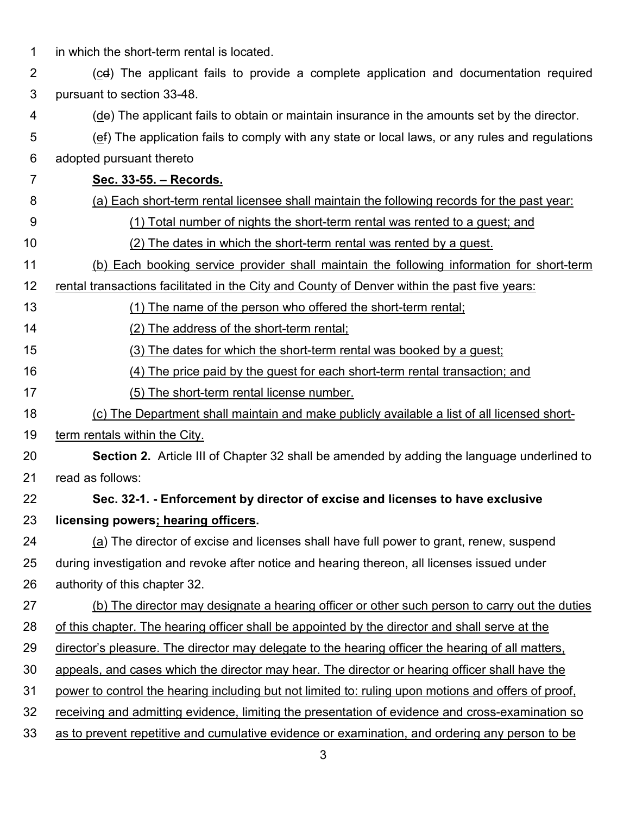| 1              | in which the short-term rental is located.                                                          |  |  |  |  |  |
|----------------|-----------------------------------------------------------------------------------------------------|--|--|--|--|--|
| $\overline{2}$ | $(cd)$ The applicant fails to provide a complete application and documentation required             |  |  |  |  |  |
| 3              | pursuant to section 33-48.                                                                          |  |  |  |  |  |
| 4              | (de) The applicant fails to obtain or maintain insurance in the amounts set by the director.        |  |  |  |  |  |
| 5              | (ef) The application fails to comply with any state or local laws, or any rules and regulations     |  |  |  |  |  |
| 6              | adopted pursuant thereto                                                                            |  |  |  |  |  |
| 7              | Sec. 33-55. - Records.                                                                              |  |  |  |  |  |
| 8              | (a) Each short-term rental licensee shall maintain the following records for the past year:         |  |  |  |  |  |
| 9              | (1) Total number of nights the short-term rental was rented to a guest; and                         |  |  |  |  |  |
| 10             | (2) The dates in which the short-term rental was rented by a guest.                                 |  |  |  |  |  |
| 11             | (b) Each booking service provider shall maintain the following information for short-term           |  |  |  |  |  |
| 12             | rental transactions facilitated in the City and County of Denver within the past five years:        |  |  |  |  |  |
| 13             | (1) The name of the person who offered the short-term rental;                                       |  |  |  |  |  |
| 14             | (2) The address of the short-term rental;                                                           |  |  |  |  |  |
| 15             | (3) The dates for which the short-term rental was booked by a guest;                                |  |  |  |  |  |
| 16             | (4) The price paid by the quest for each short-term rental transaction; and                         |  |  |  |  |  |
| 17             | (5) The short-term rental license number.                                                           |  |  |  |  |  |
| 18             | (c) The Department shall maintain and make publicly available a list of all licensed short-         |  |  |  |  |  |
| 19             | term rentals within the City.                                                                       |  |  |  |  |  |
| 20             | <b>Section 2.</b> Article III of Chapter 32 shall be amended by adding the language underlined to   |  |  |  |  |  |
| 21             | read as follows:                                                                                    |  |  |  |  |  |
| 22             | Sec. 32-1. - Enforcement by director of excise and licenses to have exclusive                       |  |  |  |  |  |
| 23             | licensing powers; hearing officers.                                                                 |  |  |  |  |  |
| 24             | (a) The director of excise and licenses shall have full power to grant, renew, suspend              |  |  |  |  |  |
| 25             | during investigation and revoke after notice and hearing thereon, all licenses issued under         |  |  |  |  |  |
| 26             | authority of this chapter 32.                                                                       |  |  |  |  |  |
| 27             | (b) The director may designate a hearing officer or other such person to carry out the duties       |  |  |  |  |  |
| 28             | of this chapter. The hearing officer shall be appointed by the director and shall serve at the      |  |  |  |  |  |
| 29             | director's pleasure. The director may delegate to the hearing officer the hearing of all matters,   |  |  |  |  |  |
| 30             | appeals, and cases which the director may hear. The director or hearing officer shall have the      |  |  |  |  |  |
| 31             | power to control the hearing including but not limited to: ruling upon motions and offers of proof, |  |  |  |  |  |
| 32             | receiving and admitting evidence, limiting the presentation of evidence and cross-examination so    |  |  |  |  |  |
| 33             | as to prevent repetitive and cumulative evidence or examination, and ordering any person to be      |  |  |  |  |  |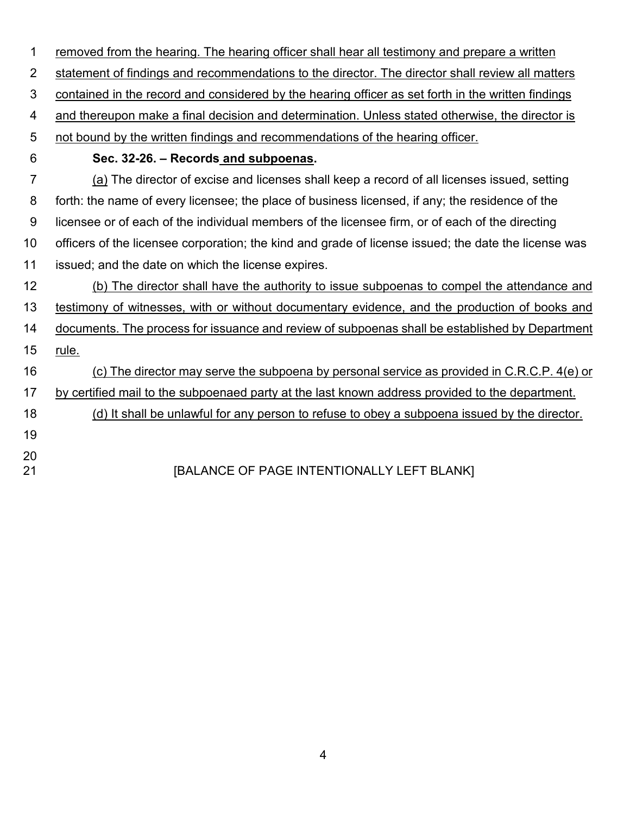| 1              | removed from the hearing. The hearing officer shall hear all testimony and prepare a written         |
|----------------|------------------------------------------------------------------------------------------------------|
| $\overline{2}$ | statement of findings and recommendations to the director. The director shall review all matters     |
| 3              | contained in the record and considered by the hearing officer as set forth in the written findings   |
| 4              | and thereupon make a final decision and determination. Unless stated otherwise, the director is      |
| 5              | not bound by the written findings and recommendations of the hearing officer.                        |
| 6              | Sec. 32-26. - Records and subpoenas.                                                                 |
| 7              | (a) The director of excise and licenses shall keep a record of all licenses issued, setting          |
| 8              | forth: the name of every licensee; the place of business licensed, if any; the residence of the      |
| 9              | licensee or of each of the individual members of the licensee firm, or of each of the directing      |
| 10             | officers of the licensee corporation; the kind and grade of license issued; the date the license was |
| 11             | issued; and the date on which the license expires.                                                   |
| 12             | (b) The director shall have the authority to issue subpoenas to compel the attendance and            |
| 13             | testimony of witnesses, with or without documentary evidence, and the production of books and        |
| 14             | documents. The process for issuance and review of subpoenas shall be established by Department       |
| 15             | rule.                                                                                                |
| 16             | (c) The director may serve the subpoena by personal service as provided in C.R.C.P. 4(e) or          |
| 17             | by certified mail to the subpoenaed party at the last known address provided to the department.      |
| 18             | (d) It shall be unlawful for any person to refuse to obey a subpoena issued by the director.         |
| 19             |                                                                                                      |
| 20<br>21       | [BALANCE OF PAGE INTENTIONALLY LEFT BLANK]                                                           |